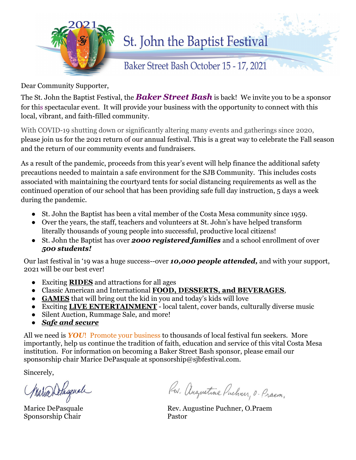

## St. John the Baptist Festival

Baker Street Bash October 15 - 17, 2021

Dear Community Supporter,

The St. John the Baptist Festival, the *Baker Street Bash* is back! We invite you to be a sponsor for this spectacular event. It will provide your business with the opportunity to connect with this local, vibrant, and faith-filled community.

With COVID-19 shutting down or significantly altering many events and gatherings since 2020, please join us for the 2021 return of our annual festival. This is a great way to celebrate the Fall season and the return of our community events and fundraisers.

As a result of the pandemic, proceeds from this year's event will help finance the additional safety precautions needed to maintain a safe environment for the SJB Community. This includes costs associated with maintaining the courtyard tents for social distancing requirements as well as the continued operation of our school that has been providing safe full day instruction, 5 days a week during the pandemic.

- St. John the Baptist has been a vital member of the Costa Mesa community since 1959.
- Over the years, the staff, teachers and volunteers at St. John's have helped transform literally thousands of young people into successful, productive local citizens!
- St. John the Baptist has over *2000 registered families* and a school enrollment of over *500 students!*

Our last festival in '19 was a huge success--over *10,000 people attended,* and with your support, 2021 will be our best ever!

- Exciting **RIDES** and attractions for all ages
- Classic American and International **FOOD, DESSERTS, and BEVERAGES**,
- **GAMES** that will bring out the kid in you and today's kids will love
- Exciting **LIVE ENTERTAINMENT** local talent, cover bands, culturally diverse music
- Silent Auction, Rummage Sale, and more!
- **Safe and secure**

All we need is *YOU*! Promote your business to thousands of local festival fun seekers. More importantly, help us continue the tradition of faith, education and service of this vital Costa Mesa institution. For information on becoming a Baker Street Bash sponsor, please email our sponsorship chair Marice DePasquale at sponsorship@sjbfestival.com.

Sincerely,

j Maria Delasqual

Sponsorship Chair Pastor

Rev. Augustine Puchner, O. Praem.

Marice DePasquale Rev. Augustine Puchner, O.Praem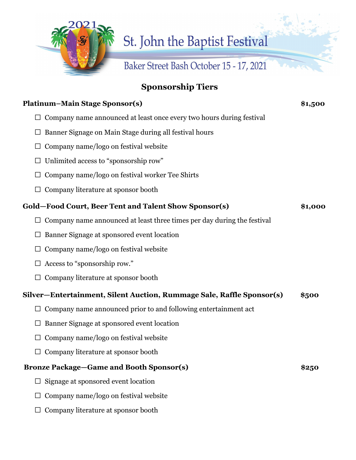

## **Sponsorship Tiers**

| <b>Platinum–Main Stage Sponsor(s)</b>                                   | \$1,500 |
|-------------------------------------------------------------------------|---------|
| Company name announced at least once every two hours during festival    |         |
| Banner Signage on Main Stage during all festival hours                  |         |
| Company name/logo on festival website                                   |         |
| Unlimited access to "sponsorship row"                                   |         |
| Company name/logo on festival worker Tee Shirts                         |         |
| Company literature at sponsor booth                                     |         |
| Gold-Food Court, Beer Tent and Talent Show Sponsor(s)                   | \$1,000 |
| Company name announced at least three times per day during the festival |         |
| Banner Signage at sponsored event location                              |         |
| Company name/logo on festival website                                   |         |
| Access to "sponsorship row."                                            |         |
| Company literature at sponsor booth                                     |         |
| Silver-Entertainment, Silent Auction, Rummage Sale, Raffle Sponsor(s)   | \$500   |
| Company name announced prior to and following entertainment act         |         |
| Banner Signage at sponsored event location                              |         |
| Company name/logo on festival website                                   |         |
| Company literature at sponsor booth                                     |         |
| <b>Bronze Package-Game and Booth Sponsor(s)</b>                         | \$250   |
| Signage at sponsored event location                                     |         |
| Company name/logo on festival website                                   |         |
| Company literature at sponsor booth                                     |         |